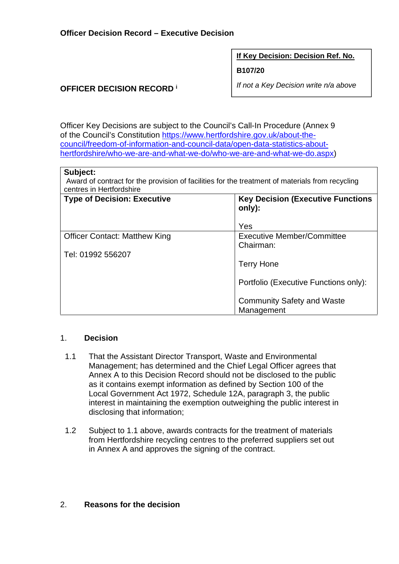**If Key Decision: Decision Ref. No.** 

**B107/20** 

*If not a Key Decision write n/a above* 

## **OFFICER DECISION RECORD <sup>i</sup>**

Officer Key Decisions are subject to the Council's Call-In Procedure (Annex 9 of the Council's Constitution https://www.hertfordshire.gov.uk/about-thecouncil/freedom-of-information-and-council-data/open-data-statistics-abouthertfordshire/who-we-are-and-what-we-do/who-we-are-and-what-we-do.aspx)

#### **Subject:**

Award of contract for the provision of facilities for the treatment of materials from recycling centres in Hertfordshire

| <b>Type of Decision: Executive</b>   | <b>Key Decision (Executive Functions)</b><br>only): |
|--------------------------------------|-----------------------------------------------------|
|                                      | Yes                                                 |
| <b>Officer Contact: Matthew King</b> | <b>Executive Member/Committee</b><br>Chairman:      |
| Tel: 01992 556207                    |                                                     |
|                                      | <b>Terry Hone</b>                                   |
|                                      | Portfolio (Executive Functions only):               |
|                                      | <b>Community Safety and Waste</b><br>Management     |

#### 1. **Decision**

- 1.1 That the Assistant Director Transport, Waste and Environmental Management; has determined and the Chief Legal Officer agrees that Annex A to this Decision Record should not be disclosed to the public as it contains exempt information as defined by Section 100 of the Local Government Act 1972, Schedule 12A, paragraph 3, the public interest in maintaining the exemption outweighing the public interest in disclosing that information;
- 1.2 Subject to 1.1 above, awards contracts for the treatment of materials from Hertfordshire recycling centres to the preferred suppliers set out in Annex A and approves the signing of the contract.

## 2. **Reasons for the decision**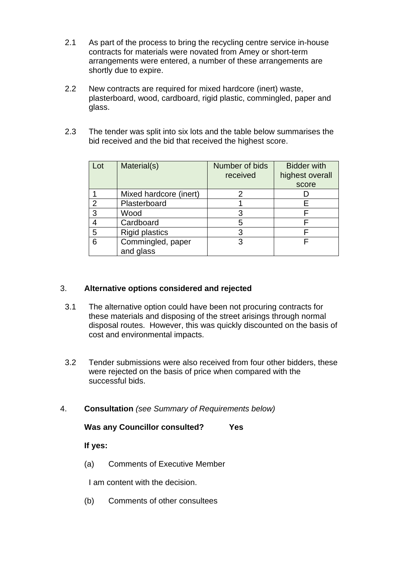- 2.1 As part of the process to bring the recycling centre service in-house contracts for materials were novated from Amey or short-term arrangements were entered, a number of these arrangements are shortly due to expire.
- 2.2 New contracts are required for mixed hardcore (inert) waste, plasterboard, wood, cardboard, rigid plastic, commingled, paper and glass.
- 2.3 The tender was split into six lots and the table below summarises the bid received and the bid that received the highest score.

| Lot | Material(s)                    | Number of bids<br>received | <b>Bidder with</b><br>highest overall<br>score |
|-----|--------------------------------|----------------------------|------------------------------------------------|
|     | Mixed hardcore (inert)         |                            |                                                |
| 2   | Plasterboard                   |                            |                                                |
| 3   | Wood                           |                            |                                                |
|     | Cardboard                      | 5                          |                                                |
| 5   | <b>Rigid plastics</b>          | 3                          |                                                |
| 6   | Commingled, paper<br>and glass | 3                          |                                                |

## 3. **Alternative options considered and rejected**

- 3.1 The alternative option could have been not procuring contracts for these materials and disposing of the street arisings through normal disposal routes. However, this was quickly discounted on the basis of cost and environmental impacts.
- 3.2 Tender submissions were also received from four other bidders, these were rejected on the basis of price when compared with the successful bids.
- 4. **Consultation** *(see Summary of Requirements below)*

## **Was any Councillor consulted? Yes**

#### **If yes:**

(a) Comments of Executive Member

I am content with the decision.

(b) Comments of other consultees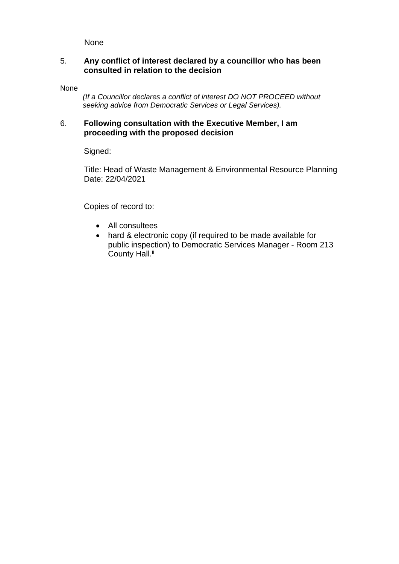None

#### 5. **Any conflict of interest declared by a councillor who has been consulted in relation to the decision**

None

 *(If a Councillor declares a conflict of interest DO NOT PROCEED without seeking advice from Democratic Services or Legal Services).* 

### 6. **Following consultation with the Executive Member, I am proceeding with the proposed decision**

Signed:

Title: Head of Waste Management & Environmental Resource Planning Date: 22/04/2021

Copies of record to:

- All consultees
- hard & electronic copy (if required to be made available for public inspection) to Democratic Services Manager - Room 213 County Hall.<sup>ii</sup>